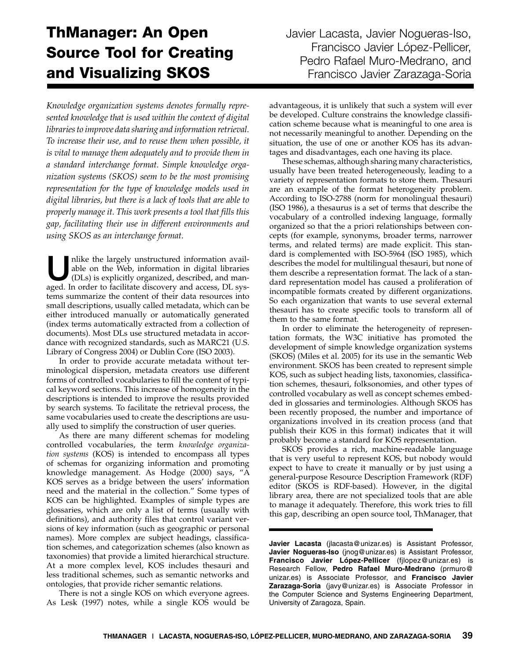# ThManager: An Open Source Tool for Creating and Visualizing SKOS

*sented knowledge that is used within the context of digital libraries to improve data sharing and information retrieval. To increase their use, and to reuse them when possible, it is vital to manage them adequately and to provide them in a standard interchange format. Simple knowledge organization systems (SKOS) seem to be the most promising representation for the type of knowledge models used in digital libraries, but there is a lack of tools that are able to properly manage it. This work presents a tool that fills this gap, facilitating their use in different environments and using SKOS as an interchange format.* 

able on the Web, information in digital libraries<br>
(DLs) is explicitly organized, described, and man-<br>  $\sum_{n=1}^{\infty}$ able on the Web, information in digital libraries aged. In order to facilitate discovery and access, DL systems summarize the content of their data resources into small descriptions, usually called metadata, which can be either introduced manually or automatically generated (index terms automatically extracted from a collection of documents). Most DLs use structured metadata in accordance with recognized standards, such as MARC21 (U.S. Library of Congress 2004) or Dublin Core (ISO 2003).

In order to provide accurate metadata without terminological dispersion, metadata creators use different forms of controlled vocabularies to fill the content of typical keyword sections. This increase of homogeneity in the descriptions is intended to improve the results provided by search systems. To facilitate the retrieval process, the same vocabularies used to create the descriptions are usually used to simplify the construction of user queries.

**The method is the system of the system of the system of the system of the system of the system of the system of the system of the system of the system of the system of the system of the system of the system of the system** As there are many different schemas for modeling controlled vocabularies, the term *knowledge organization systems* (KOS) is intended to encompass all types of schemas for organizing information and promoting knowledge management. As Hodge (2000) says, "A KOS serves as a bridge between the users' information need and the material in the collection." Some types of KOS can be highlighted. Examples of simple types are glossaries, which are only a list of terms (usually with definitions), and authority files that control variant versions of key information (such as geographic or personal names). More complex are subject headings, classification schemes, and categorization schemes (also known as taxonomies) that provide a limited hierarchical structure. At a more complex level, KOS includes thesauri and less traditional schemes, such as semantic networks and ontologies, that provide richer semantic relations.

There is not a single KOS on which everyone agrees. As Lesk (1997) notes, while a single KOS would be

advantageous, it is unlikely that such a system will ever be developed. Culture constrains the knowledge classification scheme because what is meaningful to one area is not necessarily meaningful to another. Depending on the situation, the use of one or another KOS has its advantages and disadvantages, each one having its place.

These schemas, although sharing many characteristics, usually have been treated heterogeneously, leading to a variety of representation formats to store them. Thesauri are an example of the format heterogeneity problem. According to ISO-2788 (norm for monolingual thesauri) (ISO 1986), a thesaurus is a set of terms that describe the vocabulary of a controlled indexing language, formally organized so that the a priori relationships between concepts (for example, synonyms, broader terms, narrower terms, and related terms) are made explicit. This standard is complemented with ISO-5964 (ISO 1985), which describes the model for multilingual thesauri, but none of them describe a representation format. The lack of a standard representation model has caused a proliferation of incompatible formats created by different organizations. So each organization that wants to use several external thesauri has to create specific tools to transform all of them to the same format.

In order to eliminate the heterogeneity of representation formats, the W3C initiative has promoted the development of simple knowledge organization systems (SKOS) (Miles et al. 2005) for its use in the semantic Web environment. SKOS has been created to represent simple KOS, such as subject heading lists, taxonomies, classification schemes, thesauri, folksonomies, and other types of controlled vocabulary as well as concept schemes embedded in glossaries and terminologies. Although SKOS has been recently proposed, the number and importance of organizations involved in its creation process (and that publish their KOS in this format) indicates that it will probably become a standard for KOS representation.

SKOS provides a rich, machine-readable language that is very useful to represent KOS, but nobody would expect to have to create it manually or by just using a general-purpose Resource Description Framework (RDF) editor (SKOS is RDF-based). However, in the digital library area, there are not specialized tools that are able to manage it adequately. Therefore, this work tries to fill this gap, describing an open source tool, ThManager, that

University of Zaragoza, Spain. **Javier Lacasta** (jlacasta@unizar.es) is Assistant Professor, **Javier Nogueras-Iso** (jnog@unizar.es) is Assistant Professor, **Francisco Javier López-Pellicer** (fjlopez@unizar.es) is Research Fellow, **Pedro Rafael Muro-Medrano** (prmuro@ unizar.es) is Associate Professor, and **Francisco Javier Zarazaga-Soria** (javy@unizar.es) is Associate Professor in the Computer Science and Systems Engineering Department,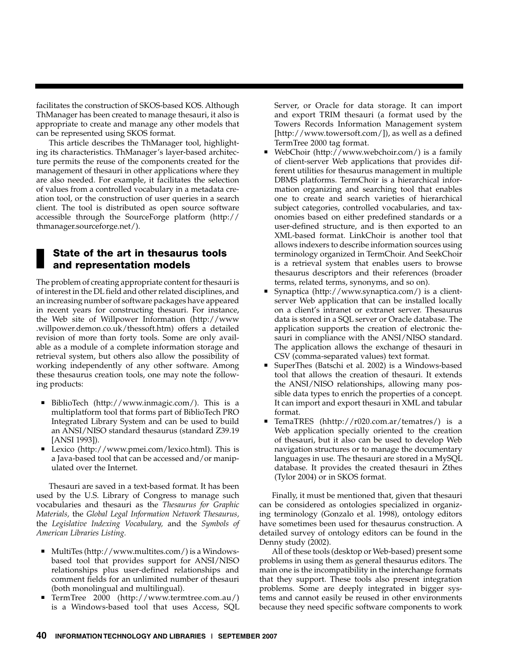facilitates the construction of SKOS-based KOS. Although ThManager has been created to manage thesauri, it also is appropriate to create and manage any other models that can be represented using SKOS format.

This article describes the ThManager tool, highlighting its characteristics. ThManager's layer-based architecture permits the reuse of the components created for the management of thesauri in other applications where they are also needed. For example, it facilitates the selection of values from a controlled vocabulary in a metadata creation tool, or the construction of user queries in a search client. The tool is distributed as open source software accessible through the SourceForge platform (http:// thmanager.sourceforge.net/).

### State of the art in thesaurus tools and representation models

The problem of creating appropriate content for thesauri is of interest in the DL field and other related disciplines, and an increasing number of software packages have appeared in recent years for constructing thesauri. For instance, the Web site of Willpower Information (http://www .willpower.demon.co.uk/thessoft.htm) offers a detailed revision of more than forty tools. Some are only available as a module of a complete information storage and retrieval system, but others also allow the possibility of working independently of any other software. Among these thesaurus creation tools, one may note the following products:

- BiblioTech (http://www.inmagic.com/). This is a multiplatform tool that forms part of BiblioTech PRO Integrated Library System and can be used to build an ANSI/NISO standard thesaurus (standard Z39.19 [ANSI 1993]).
- Lexico (http://www.pmei.com/lexico.html). This is a Java-based tool that can be accessed and/or manipulated over the Internet.

Thesauri are saved in a text-based format. It has been used by the U.S. Library of Congress to manage such vocabularies and thesauri as the *Thesaurus for Graphic Materials,* the *Global Legal Information Network Thesaurus,* the *Legislative Indexing Vocabulary,* and the *Symbols of American Libraries Listing.*

- $\blacksquare$  MultiTes (http://www.multites.com/) is a Windowsbased tool that provides support for ANSI/NISO relationships plus user-defined relationships and comment fields for an unlimited number of thesauri (both monolingual and multilingual).
- <sup>n</sup> TermTree 2000 (http://www.termtree.com.au/) is a Windows-based tool that uses Access, SQL

Server, or Oracle for data storage. It can import and export TRIM thesauri (a format used by the Towers Records Information Management system [http://www.towersoft.com/]), as well as a defined TermTree 2000 tag format.

- WebChoir (http://www.webchoir.com/) is a family of client-server Web applications that provides different utilities for thesaurus management in multiple DBMS platforms. TermChoir is a hierarchical information organizing and searching tool that enables one to create and search varieties of hierarchical subject categories, controlled vocabularies, and taxonomies based on either predefined standards or a user-defined structure, and is then exported to an XML-based format. LinkChoir is another tool that allows indexers to describe information sources using terminology organized in TermChoir. And SeekChoir is a retrieval system that enables users to browse thesaurus descriptors and their references (broader terms, related terms, synonyms, and so on).
- Synaptica (http://www.synaptica.com/) is a clientserver Web application that can be installed locally on a client's intranet or extranet server. Thesaurus data is stored in a SQL server or Oracle database. The application supports the creation of electronic thesauri in compliance with the ANSI/NISO standard. The application allows the exchange of thesauri in CSV (comma-separated values) text format.
- SuperThes (Batschi et al. 2002) is a Windows-based tool that allows the creation of thesauri. It extends the ANSI/NISO relationships, allowing many possible data types to enrich the properties of a concept. It can import and export thesauri in XML and tabular format.
- <sup>n</sup> TemaTRES (hhttp://r020.com.ar/tematres/) is a Web application specially oriented to the creation of thesauri, but it also can be used to develop Web navigation structures or to manage the documentary languages in use. The thesauri are stored in a MySQL database. It provides the created thesauri in Zthes (Tylor 2004) or in SKOS format.

Finally, it must be mentioned that, given that thesauri can be considered as ontologies specialized in organizing terminology (Gonzalo et al. 1998), ontology editors have sometimes been used for thesaurus construction. A detailed survey of ontology editors can be found in the Denny study (2002).

All of these tools (desktop or Web-based) present some problems in using them as general thesaurus editors. The main one is the incompatibility in the interchange formats that they support. These tools also present integration problems. Some are deeply integrated in bigger systems and cannot easily be reused in other environments because they need specific software components to work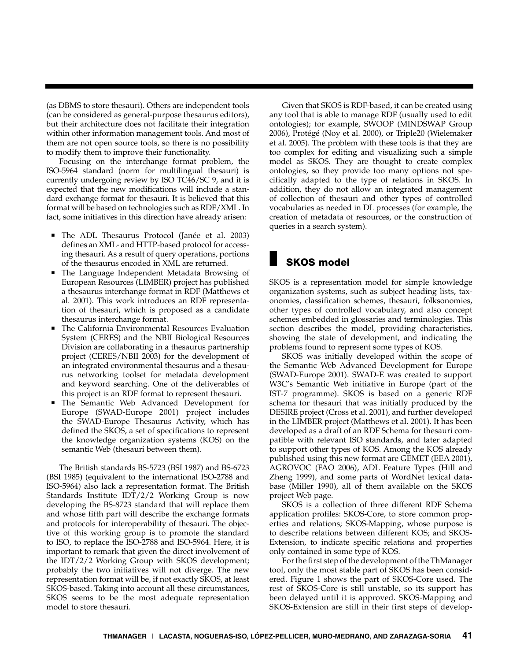(as DBMS to store thesauri). Others are independent tools (can be considered as general-purpose thesaurus editors), but their architecture does not facilitate their integration within other information management tools. And most of them are not open source tools, so there is no possibility to modify them to improve their functionality.

Focusing on the interchange format problem, the ISO-5964 standard (norm for multilingual thesauri) is currently undergoing review by ISO TC46/SC 9, and it is expected that the new modifications will include a standard exchange format for thesauri. It is believed that this format will be based on technologies such as RDF/XML. In fact, some initiatives in this direction have already arisen:

- <sup>n</sup> The ADL Thesaurus Protocol (Janée et al. 2003) defines an XML- and HTTP-based protocol for accessing thesauri. As a result of query operations, portions of the thesaurus encoded in XML are returned.
- The Language Independent Metadata Browsing of European Resources (LIMBER) project has published a thesaurus interchange format in RDF (Matthews et al. 2001). This work introduces an RDF representation of thesauri, which is proposed as a candidate thesaurus interchange format.
- The California Environmental Resources Evaluation System (CERES) and the NBII Biological Resources Division are collaborating in a thesaurus partnership project (CERES/NBII 2003) for the development of an integrated environmental thesaurus and a thesaurus networking toolset for metadata development and keyword searching. One of the deliverables of this project is an RDF format to represent thesauri.
- The Semantic Web Advanced Development for Europe (SWAD-Europe 2001) project includes the SWAD-Europe Thesaurus Activity, which has defined the SKOS, a set of specifications to represent the knowledge organization systems (KOS) on the semantic Web (thesauri between them).

The British standards BS-5723 (BSI 1987) and BS-6723 (BSI 1985) (equivalent to the international ISO-2788 and ISO-5964) also lack a representation format. The British Standards Institute IDT/2/2 Working Group is now developing the BS-8723 standard that will replace them and whose fifth part will describe the exchange formats and protocols for interoperability of thesauri. The objective of this working group is to promote the standard to ISO, to replace the ISO-2788 and ISO-5964. Here, it is important to remark that given the direct involvement of the IDT/2/2 Working Group with SKOS development; probably the two initiatives will not diverge. The new representation format will be, if not exactly SKOS, at least SKOS-based. Taking into account all these circumstances, SKOS seems to be the most adequate representation model to store thesauri.

Given that SKOS is RDF-based, it can be created using any tool that is able to manage RDF (usually used to edit ontologies); for example, SWOOP (MINDSWAP Group 2006), Protégé (Noy et al. 2000), or Triple20 (Wielemaker et al. 2005). The problem with these tools is that they are too complex for editing and visualizing such a simple model as SKOS. They are thought to create complex ontologies, so they provide too many options not specifically adapted to the type of relations in SKOS. In addition, they do not allow an integrated management of collection of thesauri and other types of controlled vocabularies as needed in DL processes (for example, the creation of metadata of resources, or the construction of queries in a search system).

# **SKOS model**

SKOS is a representation model for simple knowledge organization systems, such as subject heading lists, taxonomies, classification schemes, thesauri, folksonomies, other types of controlled vocabulary, and also concept schemes embedded in glossaries and terminologies. This section describes the model, providing characteristics, showing the state of development, and indicating the problems found to represent some types of KOS.

SKOS was initially developed within the scope of the Semantic Web Advanced Development for Europe (SWAD-Europe 2001). SWAD-E was created to support W3C's Semantic Web initiative in Europe (part of the IST-7 programme). SKOS is based on a generic RDF schema for thesauri that was initially produced by the DESIRE project (Cross et al. 2001), and further developed in the LIMBER project (Matthews et al. 2001). It has been developed as a draft of an RDF Schema for thesauri compatible with relevant ISO standards, and later adapted to support other types of KOS. Among the KOS already published using this new format are GEMET (EEA 2001), AGROVOC (FAO 2006), ADL Feature Types (Hill and Zheng 1999), and some parts of WordNet lexical database (Miller 1990), all of them available on the SKOS project Web page.

SKOS is a collection of three different RDF Schema application profiles: SKOS-Core, to store common properties and relations; SKOS-Mapping, whose purpose is to describe relations between different KOS; and SKOS-Extension, to indicate specific relations and properties only contained in some type of KOS.

For the first step of the development of the ThManager tool, only the most stable part of SKOS has been considered. Figure 1 shows the part of SKOS-Core used. The rest of SKOS-Core is still unstable, so its support has been delayed until it is approved. SKOS-Mapping and SKOS-Extension are still in their first steps of develop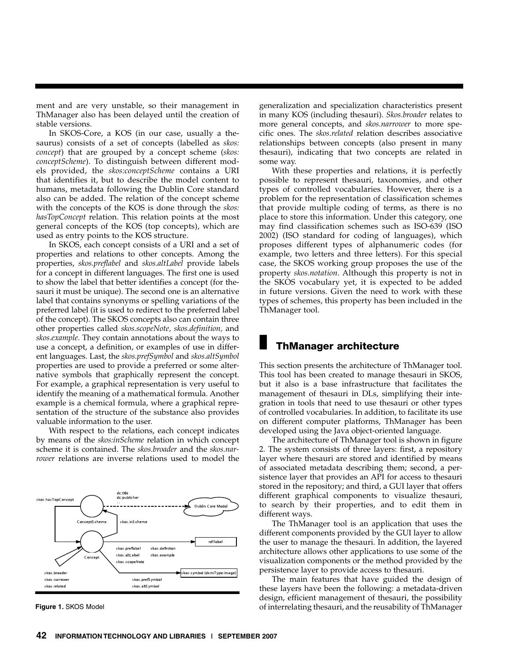ment and are very unstable, so their management in ThManager also has been delayed until the creation of stable versions.

In SKOS-Core, a KOS (in our case, usually a thesaurus) consists of a set of concepts (labelled as *skos: concept*) that are grouped by a concept scheme (*skos: conceptScheme*). To distinguish between different models provided, the *skos:conceptScheme* contains a URI that identifies it, but to describe the model content to humans, metadata following the Dublin Core standard also can be added. The relation of the concept scheme with the concepts of the KOS is done through the *skos: hasTopConcept* relation. This relation points at the most general concepts of the KOS (top concepts), which are used as entry points to the KOS structure.

In SKOS, each concept consists of a URI and a set of properties and relations to other concepts. Among the properties, *skos.preflabel* and *skos.altLabel* provide labels for a concept in different languages. The first one is used to show the label that better identifies a concept (for thesauri it must be unique). The second one is an alternative label that contains synonyms or spelling variations of the preferred label (it is used to redirect to the preferred label of the concept). The SKOS concepts also can contain three other properties called *skos.scopeNote, skos.definition,* and *skos.example*. They contain annotations about the ways to use a concept, a definition, or examples of use in different languages. Last, the *skos.prefSymbol* and *skos.altSymbol*  properties are used to provide a preferred or some alternative symbols that graphically represent the concept. For example, a graphical representation is very useful to identify the meaning of a mathematical formula. Another example is a chemical formula, where a graphical representation of the structure of the substance also provides valuable information to the user.

With respect to the relations, each concept indicates by means of the *skos:inScheme* relation in which concept scheme it is contained. The *skos.broader* and the *skos.narrower* relations are inverse relations used to model the



generalization and specialization characteristics present in many KOS (including thesauri). *Skos.broader* relates to more general concepts, and *skos.narrower* to more specific ones. The *skos.related* relation describes associative relationships between concepts (also present in many thesauri), indicating that two concepts are related in some way.

With these properties and relations, it is perfectly possible to represent thesauri, taxonomies, and other types of controlled vocabularies. However, there is a problem for the representation of classification schemes that provide multiple coding of terms, as there is no place to store this information. Under this category, one may find classification schemes such as ISO-639 (ISO 2002) (ISO standard for coding of languages), which proposes different types of alphanumeric codes (for example, two letters and three letters). For this special case, the SKOS working group proposes the use of the property *skos.notation*. Although this property is not in the SKOS vocabulary yet, it is expected to be added in future versions. Given the need to work with these types of schemes, this property has been included in the ThManager tool.

### **ThManager architecture**

This section presents the architecture of ThManager tool. This tool has been created to manage thesauri in SKOS, but it also is a base infrastructure that facilitates the management of thesauri in DLs, simplifying their integration in tools that need to use thesauri or other types of controlled vocabularies. In addition, to facilitate its use on different computer platforms, ThManager has been developed using the Java object-oriented language.

The architecture of ThManager tool is shown in figure 2. The system consists of three layers: first, a repository layer where thesauri are stored and identified by means of associated metadata describing them; second, a persistence layer that provides an API for access to thesauri stored in the repository; and third, a GUI layer that offers different graphical components to visualize thesauri, to search by their properties, and to edit them in different ways.

The ThManager tool is an application that uses the different components provided by the GUI layer to allow the user to manage the thesauri. In addition, the layered architecture allows other applications to use some of the visualization components or the method provided by the persistence layer to provide access to thesauri.

The main features that have guided the design of these layers have been the following: a metadata-driven design, efficient management of thesauri, the possibility **Figure 1.** SKOS Model **Conserverse intervals of interrelating thesauri, and the reusability of ThManager**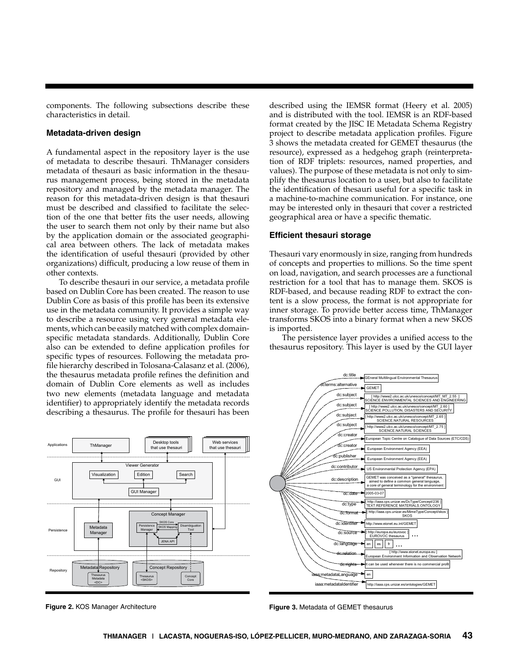components. The following subsections describe these characteristics in detail.

#### **Metadata-driven design**

A fundamental aspect in the repository layer is the use of metadata to describe thesauri. ThManager considers metadata of thesauri as basic information in the thesaurus management process, being stored in the metadata repository and managed by the metadata manager. The reason for this metadata-driven design is that thesauri must be described and classified to facilitate the selection of the one that better fits the user needs, allowing the user to search them not only by their name but also by the application domain or the associated geographical area between others. The lack of metadata makes the identification of useful thesauri (provided by other organizations) difficult, producing a low reuse of them in other contexts.

To describe thesauri in our service, a metadata profile based on Dublin Core has been created. The reason to use Dublin Core as basis of this profile has been its extensive use in the metadata community. It provides a simple way to describe a resource using very general metadata elements, which can be easily matched with complex domainspecific metadata standards. Additionally, Dublin Core also can be extended to define application profiles for specific types of resources. Following the metadata profile hierarchy described in Tolosana-Calasanz et al. (2006), the thesaurus metadata profile refines the definition and domain of Dublin Core elements as well as includes two new elements (metadata language and metadata identifier) to appropriately identify the metadata records describing a thesaurus. The profile for thesauri has been



**Figure 2.** KOS Manager Architecture

described using the IEMSR format (Heery et al. 2005) and is distributed with the tool. IEMSR is an RDF-based format created by the JISC IE Metadata Schema Registry project to describe metadata application profiles. Figure 3 shows the metadata created for GEMET thesaurus (the resource), expressed as a hedgehog graph (reinterpretation of RDF triplets: resources, named properties, and values). The purpose of these metadata is not only to simplify the thesaurus location to a user, but also to facilitate the identification of thesauri useful for a specific task in a machine-to-machine communication. For instance, one may be interested only in thesauri that cover a restricted geographical area or have a specific thematic.

#### **Efficient thesauri storage**

Thesauri vary enormously in size, ranging from hundreds of concepts and properties to millions. So the time spent on load, navigation, and search processes are a functional restriction for a tool that has to manage them. SKOS is RDF-based, and because reading RDF to extract the content is a slow process, the format is not appropriate for inner storage. To provide better access time, ThManager transforms SKOS into a binary format when a new SKOS is imported.

The persistence layer provides a unified access to the thesaurus repository. This layer is used by the GUI layer



**Figure 3.** Metadata of GEMET thesaurus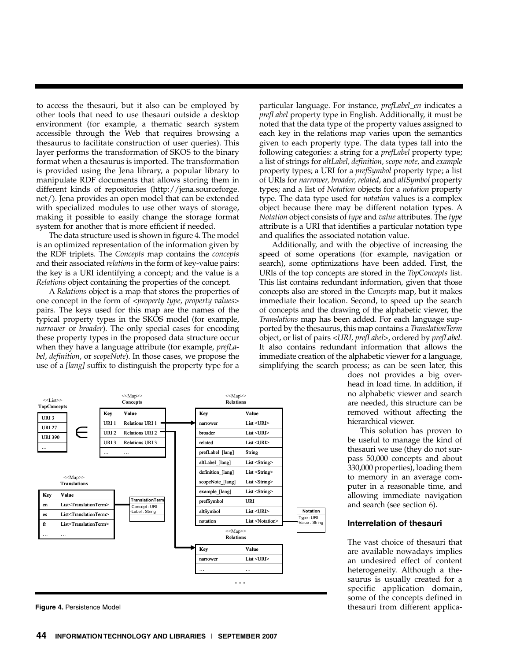to access the thesauri, but it also can be employed by other tools that need to use thesauri outside a desktop environment (for example, a thematic search system accessible through the Web that requires browsing a thesaurus to facilitate construction of user queries). This layer performs the transformation of SKOS to the binary format when a thesaurus is imported. The transformation is provided using the Jena library, a popular library to manipulate RDF documents that allows storing them in different kinds of repositories (http://jena.sourceforge. net/). Jena provides an open model that can be extended with specialized modules to use other ways of storage, making it possible to easily change the storage format system for another that is more efficient if needed.

The data structure used is shown in figure 4. The model is an optimized representation of the information given by the RDF triplets. The *Concepts* map contains the *concepts* and their associated *relations* in the form of key-value pairs: the key is a URI identifying a concept; and the value is a *Relations* object containing the properties of the concept.

A *Relations* object is a map that stores the properties of one concept in the form of *<property type, property values>*  pairs*.* The keys used for this map are the names of the typical property types in the SKOS model (for example, *narrower* or *broader*). The only special cases for encoding these property types in the proposed data structure occur when they have a language attribute (for example, *prefLabel*, *definition*, or *scopeNote*). In those cases, we propose the use of a *[lang]* suffix to distinguish the property type for a



particular language. For instance, *prefLabel\_en* indicates a *prefLabel* property type in English. Additionally, it must be noted that the data type of the property values assigned to each key in the relations map varies upon the semantics given to each property type. The data types fall into the following categories: a string for a *prefLabel* property type; a list of strings for *altLabel, definition, scope note,* and *example* property types; a URI for a *prefSymbol* property type; a list of URIs for *narrower, broader, related,* and *altSymbol* property types; and a list of *Notation* objects for a *notation* property type. The data type used for *notation* values is a complex object because there may be different notation types. A *Notation* object consists of *type* and *value* attributes. The *type* attribute is a URI that identifies a particular notation type and qualifies the associated notation value.

Additionally, and with the objective of increasing the speed of some operations (for example, navigation or search), some optimizations have been added. First, the URIs of the top concepts are stored in the *TopConcepts* list. This list contains redundant information, given that those concepts also are stored in the *Concepts* map, but it makes immediate their location. Second, to speed up the search of concepts and the drawing of the alphabetic viewer, the *Translations* map has been added. For each language supported by the thesaurus, this map contains a *TranslationTerm* object, or list of pairs <*URI, prefLabel*>, ordered by *prefLabel.* It also contains redundant information that allows the immediate creation of the alphabetic viewer for a language, simplifying the search process; as can be seen later, this

does not provides a big overhead in load time. In addition, if no alphabetic viewer and search are needed, this structure can be removed without affecting the hierarchical viewer.

This solution has proven to be useful to manage the kind of thesauri we use (they do not surpass 50,000 concepts and about 330,000 properties), loading them to memory in an average computer in a reasonable time, and allowing immediate navigation and search (see section 6).

#### **Interrelation of thesauri**

The vast choice of thesauri that are available nowadays implies an undesired effect of content heterogeneity. Although a thesaurus is usually created for a specific application domain, some of the concepts defined in **Figure 4.** Persistence Model thesauri from different applica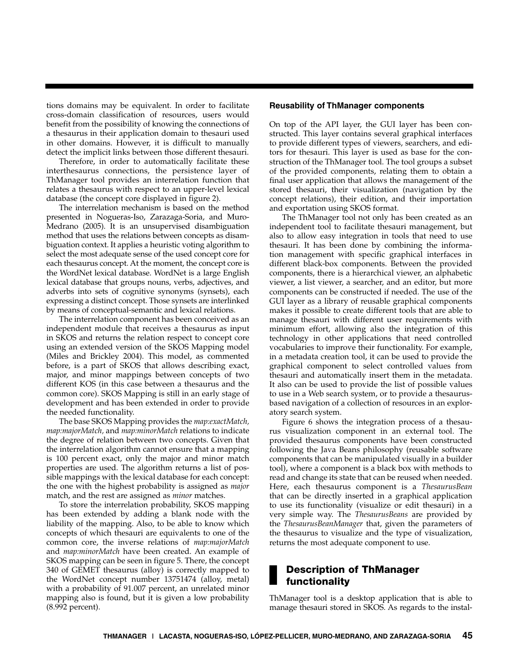tions domains may be equivalent. In order to facilitate cross-domain classification of resources, users would benefit from the possibility of knowing the connections of a thesaurus in their application domain to thesauri used in other domains. However, it is difficult to manually detect the implicit links between those different thesauri.

Therefore, in order to automatically facilitate these interthesaurus connections, the persistence layer of ThManager tool provides an interrelation function that relates a thesaurus with respect to an upper-level lexical database (the concept core displayed in figure 2).

The interrelation mechanism is based on the method presented in Nogueras-Iso, Zarazaga-Soria, and Muro-Medrano (2005). It is an unsupervised disambiguation method that uses the relations between concepts as disambiguation context. It applies a heuristic voting algorithm to select the most adequate sense of the used concept core for each thesaurus concept. At the moment, the concept core is the WordNet lexical database. WordNet is a large English lexical database that groups nouns, verbs, adjectives, and adverbs into sets of cognitive synonyms (synsets), each expressing a distinct concept. Those synsets are interlinked by means of conceptual-semantic and lexical relations.

The interrelation component has been conceived as an independent module that receives a thesaurus as input in SKOS and returns the relation respect to concept core using an extended version of the SKOS Mapping model (Miles and Brickley 2004). This model, as commented before, is a part of SKOS that allows describing exact, major, and minor mappings between concepts of two different KOS (in this case between a thesaurus and the common core). SKOS Mapping is still in an early stage of development and has been extended in order to provide the needed functionality.

The base SKOS Mapping provides the *map:exactMatch, map:majorMatch,* and *map:minorMatch* relations to indicate the degree of relation between two concepts. Given that the interrelation algorithm cannot ensure that a mapping is 100 percent exact, only the major and minor match properties are used. The algorithm returns a list of possible mappings with the lexical database for each concept: the one with the highest probability is assigned as *major*  match, and the rest are assigned as *minor* matches.

To store the interrelation probability, SKOS mapping has been extended by adding a blank node with the liability of the mapping. Also, to be able to know which concepts of which thesauri are equivalents to one of the common core, the inverse relations of *map:majorMatch*  and *map:minorMatch* have been created. An example of SKOS mapping can be seen in figure 5. There, the concept 340 of GEMET thesaurus (alloy) is correctly mapped to the WordNet concept number 13751474 (alloy, metal) with a probability of 91.007 percent, an unrelated minor mapping also is found, but it is given a low probability (8.992 percent).

### **Reusability of ThManager components**

On top of the API layer, the GUI layer has been constructed. This layer contains several graphical interfaces to provide different types of viewers, searchers, and editors for thesauri. This layer is used as base for the construction of the ThManager tool. The tool groups a subset of the provided components, relating them to obtain a final user application that allows the management of the stored thesauri, their visualization (navigation by the concept relations), their edition, and their importation and exportation using SKOS format.

The ThManager tool not only has been created as an independent tool to facilitate thesauri management, but also to allow easy integration in tools that need to use thesauri. It has been done by combining the information management with specific graphical interfaces in different black-box components. Between the provided components, there is a hierarchical viewer, an alphabetic viewer, a list viewer, a searcher, and an editor, but more components can be constructed if needed. The use of the GUI layer as a library of reusable graphical components makes it possible to create different tools that are able to manage thesauri with different user requirements with minimum effort, allowing also the integration of this technology in other applications that need controlled vocabularies to improve their functionality. For example, in a metadata creation tool, it can be used to provide the graphical component to select controlled values from thesauri and automatically insert them in the metadata. It also can be used to provide the list of possible values to use in a Web search system, or to provide a thesaurusbased navigation of a collection of resources in an exploratory search system.

Figure 6 shows the integration process of a thesaurus visualization component in an external tool. The provided thesaurus components have been constructed following the Java Beans philosophy (reusable software components that can be manipulated visually in a builder tool), where a component is a black box with methods to read and change its state that can be reused when needed. Here, each thesaurus component is a *ThesaurusBean* that can be directly inserted in a graphical application to use its functionality (visualize or edit thesauri) in a very simple way. The *ThesaurusBeans* are provided by the *ThesaurusBeanManager* that, given the parameters of the thesaurus to visualize and the type of visualization, returns the most adequate component to use.

## **Description of ThManager** functionality

ThManager tool is a desktop application that is able to manage thesauri stored in SKOS. As regards to the instal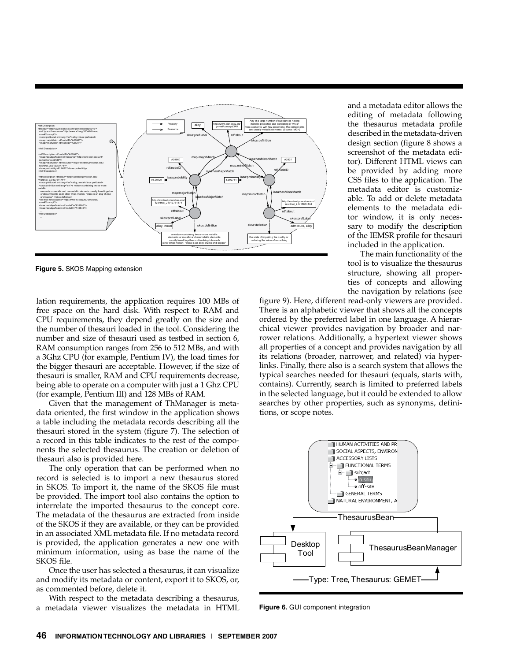

**Figure 5.** SKOS Mapping extension

lation requirements, the application requires 100 MBs of free space on the hard disk. With respect to RAM and CPU requirements, they depend greatly on the size and the number of thesauri loaded in the tool. Considering the number and size of thesauri used as testbed in section 6, RAM consumption ranges from 256 to 512 MBs, and with a 3Ghz CPU (for example, Pentium IV), the load times for the bigger thesauri are acceptable. However, if the size of thesauri is smaller, RAM and CPU requirements decrease, being able to operate on a computer with just a 1 Ghz CPU (for example, Pentium III) and 128 MBs of RAM.

Given that the management of ThManager is metadata oriented, the first window in the application shows a table including the metadata records describing all the thesauri stored in the system (figure 7). The selection of a record in this table indicates to the rest of the components the selected thesaurus. The creation or deletion of thesauri also is provided here.

The only operation that can be performed when no record is selected is to import a new thesaurus stored in SKOS. To import it, the name of the SKOS file must be provided. The import tool also contains the option to interrelate the imported thesaurus to the concept core. The metadata of the thesaurus are extracted from inside of the SKOS if they are available, or they can be provided in an associated XML metadata file. If no metadata record is provided, the application generates a new one with minimum information, using as base the name of the SKOS file.

Once the user has selected a thesaurus, it can visualize and modify its metadata or content, export it to SKOS, or, as commented before, delete it.

With respect to the metadata describing a thesaurus, a metadata viewer visualizes the metadata in HTML and a metadata editor allows the editing of metadata following the thesaurus metadata profile described in the metadata-driven design section (figure 8 shows a screenshot of the metadata editor). Different HTML views can be provided by adding more CSS files to the application. The metadata editor is customizable. To add or delete metadata elements to the metadata editor window, it is only necessary to modify the description of the IEMSR profile for thesauri included in the application.

The main functionality of the tool is to visualize the thesaurus structure, showing all properties of concepts and allowing the navigation by relations (see

figure 9). Here, different read-only viewers are provided. There is an alphabetic viewer that shows all the concepts ordered by the preferred label in one language. A hierarchical viewer provides navigation by broader and narrower relations. Additionally, a hypertext viewer shows all properties of a concept and provides navigation by all its relations (broader, narrower, and related) via hyperlinks. Finally, there also is a search system that allows the typical searches needed for thesauri (equals, starts with, contains). Currently, search is limited to preferred labels in the selected language, but it could be extended to allow searches by other properties, such as synonyms, definitions, or scope notes.



**Figure 6.** GUI component integration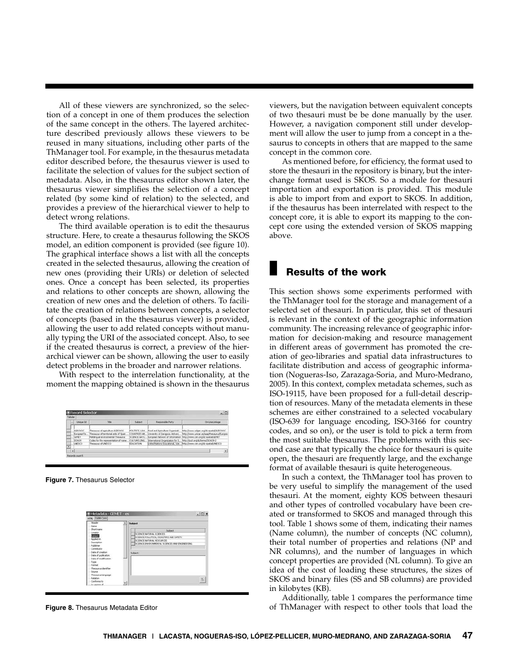All of these viewers are synchronized, so the selection of a concept in one of them produces the selection of the same concept in the others. The layered architecture described previously allows these viewers to be reused in many situations, including other parts of the ThManager tool. For example, in the thesaurus metadata editor described before, the thesaurus viewer is used to facilitate the selection of values for the subject section of metadata. Also, in the thesaurus editor shown later, the thesaurus viewer simplifies the selection of a concept related (by some kind of relation) to the selected, and provides a preview of the hierarchical viewer to help to detect wrong relations.

The third available operation is to edit the thesaurus structure. Here, to create a thesaurus following the SKOS model, an edition component is provided (see figure 10). The graphical interface shows a list with all the concepts created in the selected thesaurus, allowing the creation of new ones (providing their URIs) or deletion of selected ones. Once a concept has been selected, its properties and relations to other concepts are shown, allowing the creation of new ones and the deletion of others. To facilitate the creation of relations between concepts, a selector of concepts (based in the thesaurus viewer) is provided, allowing the user to add related concepts without manually typing the URI of the associated concept. Also, to see if the created thesaurus is correct, a preview of the hierarchical viewer can be shown, allowing the user to easily detect problems in the broader and narrower relations.

With respect to the interrelation functionality, at the moment the mapping obtained is shown in the thesaurus

|   | Unique 3d      | Tale                                                                                                                  | Subject          | Responsible Party | On-Line Linkage                                                                          |
|---|----------------|-----------------------------------------------------------------------------------------------------------------------|------------------|-------------------|------------------------------------------------------------------------------------------|
|   | <b>AGROWOC</b> | Thesaurus of agriculture AGROVOC                                                                                      |                  |                   | POLITICS, LAW Food and Agriculture Organizati Pittp://www.sdiger.org/dc-spatial/AGROVOC. |
|   | EuropeanTe     | Thesaurus of tweltonial units of Span-                                                                                |                  |                   | COUNTRIES AN  University of Zaragoza, Advanc http://www.unizar.es/laga/thesaurus/Europes |
|   | <b>GENET</b>   | Multilingual environmental Thesaurus                                                                                  | SCIENCE NATU.    |                   | European Natwork of Information Prito://www.cen.org/dc-spatial/QDNET                     |
|   | .150639        | Codes for the representation of name  CLETLIRE LTM2 International Organization for S Into Lloud anglob/hermal150639-2 |                  |                   |                                                                                          |
|   | 11050          | These rus of LNESCO                                                                                                   | <b>EDUCATION</b> |                   | Einited Nations Educational, Scie Priticul Jwww.cen.org/dc-spatial/LRESCO                |
|   |                |                                                                                                                       |                  |                   |                                                                                          |
| × |                |                                                                                                                       |                  |                   | ٠                                                                                        |

**Figure 7.** Thesaurus Selector

| Header.<br><b>Name</b>                                                                                                                                                         | September                                                                                                                                                               |         |
|--------------------------------------------------------------------------------------------------------------------------------------------------------------------------------|-------------------------------------------------------------------------------------------------------------------------------------------------------------------------|---------|
| Short name<br>Creator<br>Subject.<br>Acoled in<br>Description<br>Publisher<br>Contributor<br>Data of creation<br>Date of publication<br>Date of modification<br>Type<br>Format | SCIENCE NATURAL SCIENCES<br>SCIENCE POLLUTION, DISASTERS AND SAFETY<br><b>SCIENCE NATURAL RESOURCES</b><br>SCIENCE ENVIRONMENTAL SCIENCES AND ENVIRONMENTAL<br>Subsect: | Subject |
| Thesaurus identifier<br>SOLEDB<br>Thesaurus language<br>Palation<br>Conforme to:<br>to carrier of                                                                              |                                                                                                                                                                         | 11      |

**Figure 8.** Thesaurus Metadata Editor

viewers, but the navigation between equivalent concepts of two thesauri must be be done manually by the user. However, a navigation component still under development will allow the user to jump from a concept in a thesaurus to concepts in others that are mapped to the same concept in the common core.

As mentioned before, for efficiency, the format used to store the thesauri in the repository is binary, but the interchange format used is SKOS. So a module for thesauri importation and exportation is provided. This module is able to import from and export to SKOS. In addition, if the thesaurus has been interrelated with respect to the concept core, it is able to export its mapping to the concept core using the extended version of SKOS mapping above.

### **Results of the work**

This section shows some experiments performed with the ThManager tool for the storage and management of a selected set of thesauri. In particular, this set of thesauri is relevant in the context of the geographic information community. The increasing relevance of geographic information for decision-making and resource management in different areas of government has promoted the creation of geo-libraries and spatial data infrastructures to facilitate distribution and access of geographic information (Nogueras-Iso, Zarazaga-Soria, and Muro-Medrano, 2005). In this context, complex metadata schemes, such as ISO-19115, have been proposed for a full-detail description of resources. Many of the metadata elements in these schemes are either constrained to a selected vocabulary (ISO-639 for language encoding, ISO-3166 for country codes, and so on), or the user is told to pick a term from the most suitable thesaurus. The problems with this second case are that typically the choice for thesauri is quite open, the thesauri are frequently large, and the exchange format of available thesauri is quite heterogeneous.

In such a context, the ThManager tool has proven to be very useful to simplify the management of the used thesauri. At the moment, eighty KOS between thesauri and other types of controlled vocabulary have been created or transformed to SKOS and managed through this tool. Table 1 shows some of them, indicating their names (Name column), the number of concepts (NC column), their total number of properties and relations (NP and NR columns), and the number of languages in which concept properties are provided (NL column). To give an idea of the cost of loading these structures, the sizes of SKOS and binary files (SS and SB columns) are provided in kilobytes (KB).

Additionally, table 1 compares the performance time of ThManager with respect to other tools that load the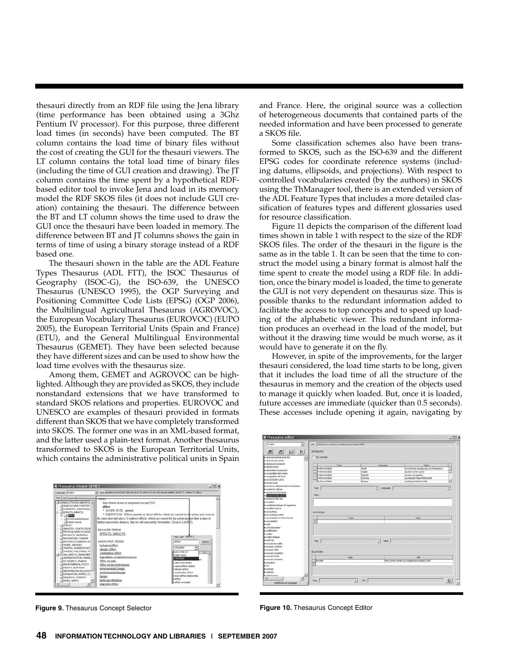thesauri directly from an RDF file using the Jena library (time performance has been obtained using a 3Ghz Pentium IV processor). For this purpose, three different load times (in seconds) have been computed. The BT column contains the load time of binary files without the cost of creating the GUI for the thesauri viewers. The LT column contains the total load time of binary files (including the time of GUI creation and drawing). The JT column contains the time spent by a hypothetical RDFbased editor tool to invoke Jena and load in its memory model the RDF SKOS files (it does not include GUI creation) containing the thesauri. The difference between the BT and LT column shows the time used to draw the GUI once the thesauri have been loaded in memory. The difference between BT and JT columns shows the gain in terms of time of using a binary storage instead of a RDF based one.

The thesauri shown in the table are the ADL Feature Types Thesaurus (ADL FTT), the ISOC Thesaurus of Geography (ISOC-G), the ISO-639, the UNESCO Thesaurus (UNESCO 1995), the OGP Surveying and Positioning Committee Code Lists (EPSG) (OGP 2006), the Multilingual Agricultural Thesaurus (AGROVOC), the European Vocabulary Thesaurus (EUROVOC) (EUPO 2005), the European Territorial Units (Spain and France) (ETU), and the General Multilingual Environmental Thesaurus (GEMET). They have been selected because they have different sizes and can be used to show how the load time evolves with the thesaurus size.

Among them, GEMET and AGROVOC can be highlighted. Although they are provided as SKOS, they include nonstandard extensions that we have transformed to standard SKOS relations and properties. EUROVOC and UNESCO are examples of thesauri provided in formats different than SKOS that we have completely transformed into SKOS. The former one was in an XML-based format, and the latter used a plain-text format. Another thesaurus transformed to SKOS is the European Territorial Units, which contains the administrative political units in Spain



**Figure 9.** Thesaurus Concept Selector **Figure 10.** Thesaurus Concept Editor

and France. Here, the original source was a collection of heterogeneous documents that contained parts of the needed information and have been processed to generate a SKOS file.

Some classification schemes also have been transformed to SKOS, such as the ISO-639 and the different EPSG codes for coordinate reference systems (including datums, ellipsoids, and projections). With respect to controlled vocabularies created (by the authors) in SKOS using the ThManager tool, there is an extended version of the ADL Feature Types that includes a more detailed classification of features types and different glossaries used for resource classification.

Figure 11 depicts the comparison of the different load times shown in table 1 with respect to the size of the RDF SKOS files. The order of the thesauri in the figure is the same as in the table 1. It can be seen that the time to construct the model using a binary format is almost half the time spent to create the model using a RDF file. In addition, once the binary model is loaded, the time to generate the GUI is not very dependent on thesaurus size. This is possible thanks to the redundant information added to facilitate the access to top concepts and to speed up loading of the alphabetic viewer. This redundant information produces an overhead in the load of the model, but without it the drawing time would be much worse, as it would have to generate it on the fly.

However, in spite of the improvements, for the larger thesauri considered, the load time starts to be long, given that it includes the load time of all the structure of the thesaurus in memory and the creation of the objects used to manage it quickly when loaded. But, once it is loaded, future accesses are immediate (quicker than 0.5 seconds). These accesses include opening it again, navigating by

| <b>C</b> Thesaurus editor                                                                                                                   |                         |                                                        |                                     | $ \Box$      |  |  |  |
|---------------------------------------------------------------------------------------------------------------------------------------------|-------------------------|--------------------------------------------------------|-------------------------------------|--------------|--|--|--|
| English<br>LRI Petp://www.eicner.eu.int/genet/concept/13295<br>×                                                                            |                         |                                                        |                                     |              |  |  |  |
| $\Box$<br>ħ<br>滤<br>晶                                                                                                                       | <b>ATTRIBUTES</b>       |                                                        |                                     |              |  |  |  |
| · abandmed industrial site<br>츼<br>· abandaned vehicle                                                                                      | T Top concept           |                                                        |                                     |              |  |  |  |
| · abiotic environment                                                                                                                       | Type                    | Language                                               | Volum                               |              |  |  |  |
| · abiotic factor                                                                                                                            | Preferred label         | Greek                                                  | δυνατότητα προσφυγής στι δικαιοσύνη |              |  |  |  |
| · absorption (exposure)                                                                                                                     | Preferred Isbel         | <b>English</b>                                         | access to the courts                |              |  |  |  |
| · acceptable daily intake                                                                                                                   | <b>Proformed label</b>  | Spanish                                                | access a la justicia                |              |  |  |  |
| · acceptable risk level                                                                                                                     | <b>Direferred label</b> | Estorian                                               | surdepags digunalistypsele          |              |  |  |  |
| · ACCESSORY LISTS                                                                                                                           | <b>Dreferred Ishel</b>  | <b>Basque</b>                                          | authora helpsig bile                | ۰            |  |  |  |
| · access road                                                                                                                               |                         |                                                        |                                     |              |  |  |  |
| · access to administrative documents                                                                                                        | <b>Type</b>             | v Language                                             |                                     |              |  |  |  |
| · access to culture                                                                                                                         |                         |                                                        |                                     | ×            |  |  |  |
| · access to information                                                                                                                     | <b>Value</b>            |                                                        |                                     |              |  |  |  |
| access to the courts                                                                                                                        |                         |                                                        |                                     |              |  |  |  |
| · access to the sea-                                                                                                                        |                         |                                                        |                                     |              |  |  |  |
| a arrident.                                                                                                                                 |                         |                                                        |                                     |              |  |  |  |
| · accidental release of organisms                                                                                                           |                         |                                                        |                                     |              |  |  |  |
| · accident source                                                                                                                           |                         |                                                        |                                     |              |  |  |  |
| · accounting                                                                                                                                | <b>NOTATIONS</b>        |                                                        |                                     |              |  |  |  |
| · accounting system                                                                                                                         |                         |                                                        |                                     |              |  |  |  |
| · accumulation in bady tissues                                                                                                              | Type                    | Value                                                  |                                     |              |  |  |  |
| · accumulator                                                                                                                               |                         | E                                                      |                                     |              |  |  |  |
| a and                                                                                                                                       |                         |                                                        |                                     |              |  |  |  |
| · sold deposition                                                                                                                           |                         |                                                        |                                     |              |  |  |  |
| · sold/cation                                                                                                                               |                         |                                                        |                                     |              |  |  |  |
| $\bullet$ scidiy                                                                                                                            |                         |                                                        |                                     |              |  |  |  |
| · acidty degree                                                                                                                             |                         |                                                        |                                     |              |  |  |  |
| a acid can                                                                                                                                  | Type:                   | $=$ Value                                              |                                     |              |  |  |  |
| · acoustcal quality                                                                                                                         |                         |                                                        |                                     |              |  |  |  |
| · acoustc comfort                                                                                                                           |                         |                                                        |                                     |              |  |  |  |
| · acquate filter                                                                                                                            | <b>REATIONS</b>         |                                                        |                                     |              |  |  |  |
| · accurate insulation                                                                                                                       |                         |                                                        |                                     |              |  |  |  |
|                                                                                                                                             | UE<br><b>Type</b>       |                                                        |                                     |              |  |  |  |
|                                                                                                                                             |                         | http://www.ecnet.eu.int/genet/concept/11583<br>Tenader |                                     |              |  |  |  |
|                                                                                                                                             |                         |                                                        |                                     |              |  |  |  |
|                                                                                                                                             | Ŧ                       |                                                        |                                     |              |  |  |  |
|                                                                                                                                             |                         |                                                        |                                     |              |  |  |  |
|                                                                                                                                             |                         |                                                        |                                     |              |  |  |  |
|                                                                                                                                             |                         |                                                        |                                     |              |  |  |  |
|                                                                                                                                             |                         |                                                        |                                     |              |  |  |  |
| ×                                                                                                                                           |                         |                                                        |                                     |              |  |  |  |
| · accurate level<br>· acoustic property<br>· acquisitics<br>a act<br>· activide<br>· actinium<br>· action group<br>可<br>Add/Renove Language | Type                    | <b>UKI</b><br>×                                        |                                     | $\mathbf{R}$ |  |  |  |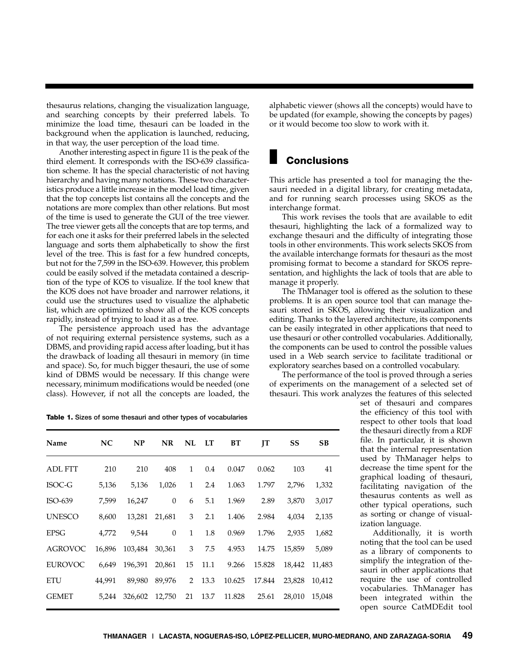thesaurus relations, changing the visualization language, and searching concepts by their preferred labels. To minimize the load time, thesauri can be loaded in the background when the application is launched, reducing, in that way, the user perception of the load time.

Another interesting aspect in figure 11 is the peak of the third element. It corresponds with the ISO-639 classification scheme. It has the special characteristic of not having hierarchy and having many notations. These two characteristics produce a little increase in the model load time, given that the top concepts list contains all the concepts and the notations are more complex than other relations. But most of the time is used to generate the GUI of the tree viewer. The tree viewer gets all the concepts that are top terms, and for each one it asks for their preferred labels in the selected language and sorts them alphabetically to show the first level of the tree. This is fast for a few hundred concepts, but not for the 7,599 in the ISO-639. However, this problem could be easily solved if the metadata contained a description of the type of KOS to visualize. If the tool knew that the KOS does not have broader and narrower relations, it could use the structures used to visualize the alphabetic list, which are optimized to show all of the KOS concepts rapidly, instead of trying to load it as a tree.

The persistence approach used has the advantage of not requiring external persistence systems, such as a DBMS, and providing rapid access after loading, but it has the drawback of loading all thesauri in memory (in time and space). So, for much bigger thesauri, the use of some kind of DBMS would be necessary. If this change were necessary, minimum modifications would be needed (one class). However, if not all the concepts are loaded, the

alphabetic viewer (shows all the concepts) would have to be updated (for example, showing the concepts by pages) or it would become too slow to work with it.

# **Conclusions**

This article has presented a tool for managing the thesauri needed in a digital library, for creating metadata, and for running search processes using SKOS as the interchange format.

This work revises the tools that are available to edit thesauri, highlighting the lack of a formalized way to exchange thesauri and the difficulty of integrating those tools in other environments. This work selects SKOS from the available interchange formats for thesauri as the most promising format to become a standard for SKOS representation, and highlights the lack of tools that are able to manage it properly.

The ThManager tool is offered as the solution to these problems. It is an open source tool that can manage thesauri stored in SKOS, allowing their visualization and editing. Thanks to the layered architecture, its components can be easily integrated in other applications that need to use thesauri or other controlled vocabularies. Additionally, the components can be used to control the possible values used in a Web search service to facilitate traditional or exploratory searches based on a controlled vocabulary.

The performance of the tool is proved through a series of experiments on the management of a selected set of thesauri. This work analyzes the features of this selected

> set of thesauri and compares the efficiency of this tool with respect to other tools that load the thesauri directly from a RDF file. In particular, it is shown that the internal representation used by ThManager helps to decrease the time spent for the graphical loading of thesauri, facilitating navigation of the thesaurus contents as well as other typical operations, such as sorting or change of visualization language.

> Additionally, it is worth noting that the tool can be used as a library of components to simplify the integration of thesauri in other applications that require the use of controlled vocabularies. ThManager has been integrated within the open source CatMDEdit tool

#### Table 1. Sizes of some thesauri and other types of vocabularies

| Name    | NC     | NP            | <b>NR</b> | NL             | LT   | BT     | IT     | SS     | SВ     |  |
|---------|--------|---------------|-----------|----------------|------|--------|--------|--------|--------|--|
| ADL FTT | 210    | 210           | 408       | $\mathbf{1}$   | 0.4  | 0.047  | 0.062  | 103    | 41     |  |
| ISOC-G  | 5,136  | 5,136         | 1,026     | $\mathbf{1}$   | 2.4  | 1.063  | 1.797  | 2,796  | 1,332  |  |
| ISO-639 | 7,599  | 16,247        | $\theta$  | 6              | 5.1  | 1.969  | 2.89   | 3,870  | 3,017  |  |
| UNESCO  | 8,600  | 13,281        | 21,681    | 3 <sup>1</sup> | 2.1  | 1.406  | 2.984  | 4,034  | 2,135  |  |
| EPSG    | 4,772  | 9,544         | 0         | $\mathbf{1}$   | 1.8  | 0.969  | 1.796  | 2,935  | 1,682  |  |
| AGROVOC | 16,896 | 103,484       | 30,361    | 3              | 7.5  | 4.953  | 14.75  | 15,859 | 5,089  |  |
| EUROVOC | 6,649  | 196,391       | 20,861    | 15             | 11.1 | 9.266  | 15.828 | 18,442 | 11,483 |  |
| ETU     | 44.991 | 89,980        | 89,976    | $\mathbf{2}$   | 13.3 | 10.625 | 17.844 | 23,828 | 10,412 |  |
| GEMET   |        | 5,244 326,602 | 12,750    | 21             | 13.7 | 11.828 | 25.61  | 28.010 | 15.048 |  |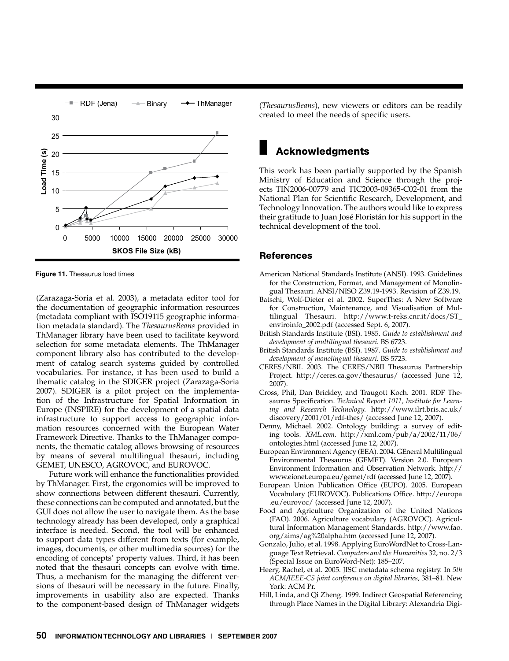

**Figure 11.** Thesaurus load times

(Zarazaga-Soria et al. 2003), a metadata editor tool for the documentation of geographic information resources (metadata compliant with ISO19115 geographic information metadata standard). The *ThesaurusBeans* provided in ThManager library have been used to facilitate keyword selection for some metadata elements. The ThManager component library also has contributed to the development of catalog search systems guided by controlled vocabularies. For instance, it has been used to build a thematic catalog in the SDIGER project (Zarazaga-Soria 2007). SDIGER is a pilot project on the implementation of the Infrastructure for Spatial Information in Europe (INSPIRE) for the development of a spatial data infrastructure to support access to geographic information resources concerned with the European Water Framework Directive. Thanks to the ThManager components, the thematic catalog allows browsing of resources by means of several multilingual thesauri, including GEMET, UNESCO, AGROVOC, and EUROVOC.

Future work will enhance the functionalities provided by ThManager. First, the ergonomics will be improved to show connections between different thesauri. Currently, these connections can be computed and annotated, but the GUI does not allow the user to navigate them. As the base technology already has been developed, only a graphical interface is needed. Second, the tool will be enhanced to support data types different from texts (for example, images, documents, or other multimedia sources) for the encoding of concepts' property values. Third, it has been noted that the thesauri concepts can evolve with time. Thus, a mechanism for the managing the different versions of thesauri will be necessary in the future. Finally, improvements in usability also are expected. Thanks to the component-based design of ThManager widgets (*ThesaurusBeans*), new viewers or editors can be readily created to meet the needs of specific users.

# **Acknowledgments**

This work has been partially supported by the Spanish Ministry of Education and Science through the projects TIN2006-00779 and TIC2003-09365-C02-01 from the National Plan for Scientific Research, Development, and Technology Innovation. The authors would like to express their gratitude to Juan José Floristán for his support in the technical development of the tool.

### References

- American National Standards Institute (ANSI). 1993. Guidelines for the Construction, Format, and Management of Monolingual Thesauri. ANSI/NISO Z39.19-1993. Revision of Z39.19.
- Batschi, Wolf-Dieter et al. 2002. SuperThes: A New Software for Construction, Maintenance, and Visualisation of Multilingual Thesauri. http://www.t-reks.cnr.it/docs/ST\_ enviroinfo\_2002.pdf (accessed Sept. 6, 2007).
- British Standards Institute (BSI). 1985. *Guide to establishment and development of multilingual thesauri.* BS 6723.
- British Standards Institute (BSI). 1987. *Guide to establishment and development of monolingual thesauri.* BS 5723.
- CERES/NBII. 2003. The CERES/NBII Thesaurus Partnership Project. http://ceres.ca.gov/thesaurus/ (accessed June 12, 2007).
- Cross, Phil, Dan Brickley, and Traugott Koch. 2001. RDF Thesaurus Specification. *Technical Report 1011, Institute for Learning and Research Technology.* http://www.ilrt.bris.ac.uk/ discovery/2001/01/rdf-thes/ (accessed June 12, 2007).
- Denny, Michael. 2002. Ontology building: a survey of editing tools. *XML.com*. http://xml.com/pub/a/2002/11/06/ ontologies.html (accessed June 12, 2007).
- European Environment Agency (EEA). 2004. GEneral Multilingual Environmental Thesaurus (GEMET). Version 2.0. European Environment Information and Observation Network. http:// www.eionet.europa.eu/gemet/rdf (accessed June 12, 2007).
- European Union Publication Office (EUPO). 2005. European Vocabulary (EUROVOC). Publications Office. http://europa .eu/eurovoc/ (accessed June 12, 2007).
- Food and Agriculture Organization of the United Nations (FAO). 2006. Agriculture vocabulary (AGROVOC). Agricultural Information Management Standards. http://www.fao. org/aims/ag%20alpha.htm (accessed June 12, 2007).
- Gonzalo, Julio, et al. 1998. Applying EuroWordNet to Cross-Language Text Retrieval. *Computers and the Humanities* 32, no. 2/3 (Special Issue on EuroWord-Net): 185–207.
- Heery, Rachel, et al. 2005. JISC metadata schema registry. In *5th ACM/IEEE-CS joint conference on digital libraries,* 381–81. New York: ACM Pr.
- Hill, Linda, and Qi Zheng. 1999. Indirect Geospatial Referencing through Place Names in the Digital Library: Alexandria Digi-